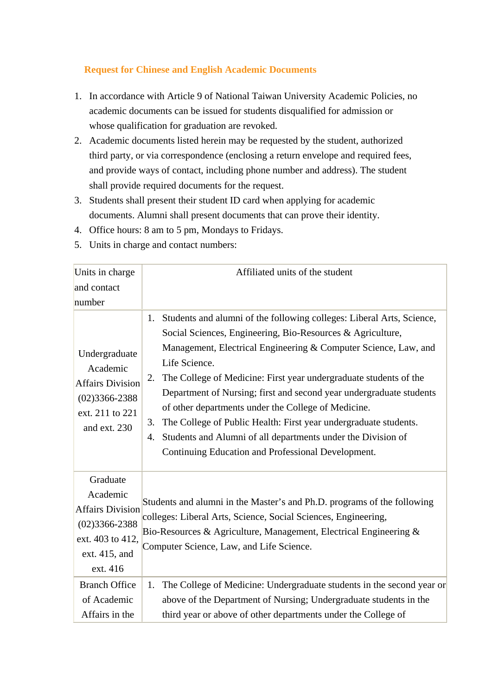## **Request for Chinese and English Academic Documents**

- 1. In accordance with Article 9 of National Taiwan University Academic Policies, no academic documents can be issued for students disqualified for admission or whose qualification for graduation are revoked.
- 2. Academic documents listed herein may be requested by the student, authorized third party, or via correspondence (enclosing a return envelope and required fees, and provide ways of contact, including phone number and address). The student shall provide required documents for the request.
- 3. Students shall present their student ID card when applying for academic documents. Alumni shall present documents that can prove their identity.
- 4. Office hours: 8 am to 5 pm, Mondays to Fridays.
- 5. Units in charge and contact numbers:

| Units in charge                                                                                                       | Affiliated units of the student                                                                                                                                                                                                                                                                                                                                                                                                                                                                                                                                                                                                              |
|-----------------------------------------------------------------------------------------------------------------------|----------------------------------------------------------------------------------------------------------------------------------------------------------------------------------------------------------------------------------------------------------------------------------------------------------------------------------------------------------------------------------------------------------------------------------------------------------------------------------------------------------------------------------------------------------------------------------------------------------------------------------------------|
| and contact                                                                                                           |                                                                                                                                                                                                                                                                                                                                                                                                                                                                                                                                                                                                                                              |
| number                                                                                                                |                                                                                                                                                                                                                                                                                                                                                                                                                                                                                                                                                                                                                                              |
| Undergraduate<br>Academic<br><b>Affairs Division</b><br>$(02)3366 - 2388$<br>ext. 211 to 221<br>and ext. 230          | Students and alumni of the following colleges: Liberal Arts, Science,<br>1.<br>Social Sciences, Engineering, Bio-Resources & Agriculture,<br>Management, Electrical Engineering & Computer Science, Law, and<br>Life Science.<br>The College of Medicine: First year undergraduate students of the<br>2.<br>Department of Nursing; first and second year undergraduate students<br>of other departments under the College of Medicine.<br>The College of Public Health: First year undergraduate students.<br>3.<br>Students and Alumni of all departments under the Division of<br>4.<br>Continuing Education and Professional Development. |
| Graduate<br>Academic<br><b>Affairs Division</b><br>$(02)3366 - 2388$<br>ext. 403 to 412,<br>ext. 415, and<br>ext. 416 | Students and alumni in the Master's and Ph.D. programs of the following<br>colleges: Liberal Arts, Science, Social Sciences, Engineering,<br>Bio-Resources & Agriculture, Management, Electrical Engineering &<br>Computer Science, Law, and Life Science.                                                                                                                                                                                                                                                                                                                                                                                   |
| <b>Branch Office</b><br>of Academic<br>Affairs in the                                                                 | The College of Medicine: Undergraduate students in the second year or<br>1.<br>above of the Department of Nursing; Undergraduate students in the<br>third year or above of other departments under the College of                                                                                                                                                                                                                                                                                                                                                                                                                            |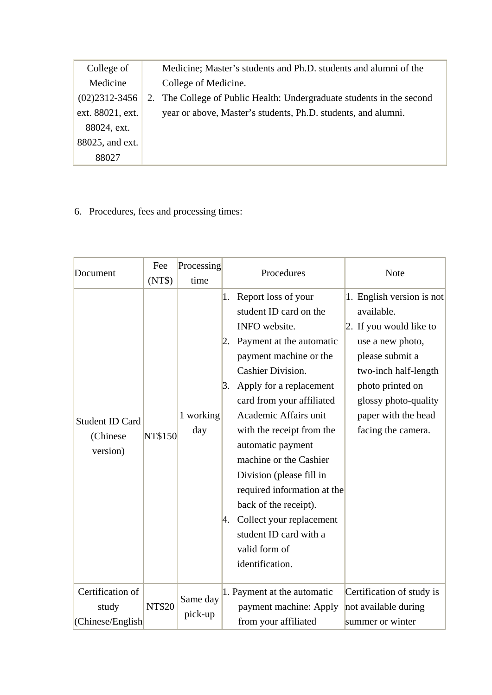| College of        | Medicine; Master's students and Ph.D. students and alumni of the      |
|-------------------|-----------------------------------------------------------------------|
| Medicine          | College of Medicine.                                                  |
| $(02)2312 - 3456$ | 2. The College of Public Health: Undergraduate students in the second |
| ext. 88021, ext.  | year or above, Master's students, Ph.D. students, and alumni.         |
| 88024, ext.       |                                                                       |
| 88025, and ext.   |                                                                       |
| 88027             |                                                                       |
|                   |                                                                       |

6. Procedures, fees and processing times:

| Document                                       | Fee<br>(NT\$)  | Processing<br>time  |                       | Procedures                                                                                                                                                                                                                                                                                                                                                                                                                                                                                  | <b>Note</b>                                                                                                                                                                                                                |
|------------------------------------------------|----------------|---------------------|-----------------------|---------------------------------------------------------------------------------------------------------------------------------------------------------------------------------------------------------------------------------------------------------------------------------------------------------------------------------------------------------------------------------------------------------------------------------------------------------------------------------------------|----------------------------------------------------------------------------------------------------------------------------------------------------------------------------------------------------------------------------|
| <b>Student ID Card</b><br>(Chinese<br>version) | <b>NT\$150</b> | 1 working<br>day    | 1.<br> 2.<br>3.<br>4. | Report loss of your<br>student ID card on the<br>INFO website.<br>Payment at the automatic<br>payment machine or the<br><b>Cashier Division.</b><br>Apply for a replacement<br>card from your affiliated<br>Academic Affairs unit<br>with the receipt from the<br>automatic payment<br>machine or the Cashier<br>Division (please fill in<br>required information at the<br>back of the receipt).<br>Collect your replacement<br>student ID card with a<br>valid form of<br>identification. | 1. English version is not<br>available.<br>2. If you would like to<br>use a new photo,<br>please submit a<br>two-inch half-length<br>photo printed on<br>glossy photo-quality<br>paper with the head<br>facing the camera. |
| Certification of<br>study<br>(Chinese/English  | <b>NT\$20</b>  | Same day<br>pick-up |                       | 1. Payment at the automatic<br>payment machine: Apply<br>from your affiliated                                                                                                                                                                                                                                                                                                                                                                                                               | Certification of study is<br>not available during<br>summer or winter                                                                                                                                                      |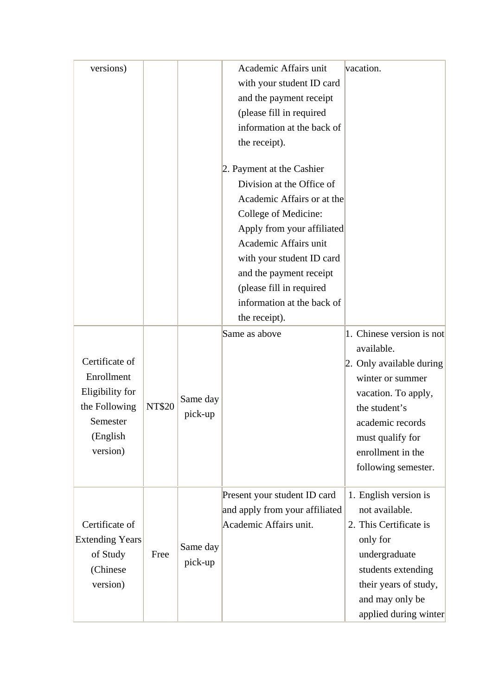| versions)                                                                                            |               |                     | Academic Affairs unit<br>with your student ID card<br>and the payment receipt<br>(please fill in required<br>information at the back of<br>the receipt).<br>2. Payment at the Cashier<br>Division at the Office of<br>Academic Affairs or at the<br>College of Medicine:<br>Apply from your affiliated<br>Academic Affairs unit | vacation.                                                                                                                                                                                 |
|------------------------------------------------------------------------------------------------------|---------------|---------------------|---------------------------------------------------------------------------------------------------------------------------------------------------------------------------------------------------------------------------------------------------------------------------------------------------------------------------------|-------------------------------------------------------------------------------------------------------------------------------------------------------------------------------------------|
|                                                                                                      |               |                     | with your student ID card<br>and the payment receipt<br>(please fill in required                                                                                                                                                                                                                                                |                                                                                                                                                                                           |
|                                                                                                      |               |                     | information at the back of                                                                                                                                                                                                                                                                                                      |                                                                                                                                                                                           |
|                                                                                                      |               |                     | the receipt).                                                                                                                                                                                                                                                                                                                   |                                                                                                                                                                                           |
|                                                                                                      |               |                     | Same as above                                                                                                                                                                                                                                                                                                                   | 1. Chinese version is not                                                                                                                                                                 |
| Certificate of<br>Enrollment<br>Eligibility for<br>the Following<br>Semester<br>(English<br>version) | <b>NT\$20</b> | Same day<br>pick-up |                                                                                                                                                                                                                                                                                                                                 | available.<br>2. Only available during<br>winter or summer<br>vacation. To apply,<br>the student's<br>academic records<br>must qualify for<br>enrollment in the<br>following semester.    |
| Certificate of<br><b>Extending Years</b><br>of Study<br>(Chinese<br>version)                         | Free          | Same day<br>pick-up | Present your student ID card<br>and apply from your affiliated<br>Academic Affairs unit.                                                                                                                                                                                                                                        | 1. English version is<br>not available.<br>2. This Certificate is<br>only for<br>undergraduate<br>students extending<br>their years of study,<br>and may only be<br>applied during winter |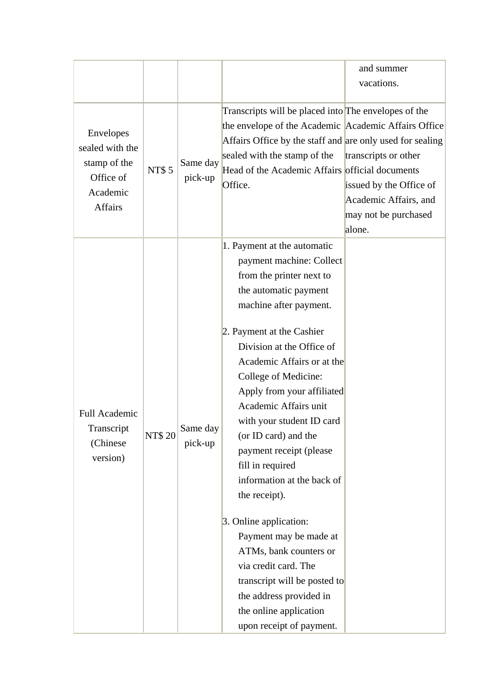| Envelopes<br>sealed with the<br>stamp of the<br><b>NT\$5</b><br>Office of |                     | Transcripts will be placed into The envelopes of the<br>the envelope of the Academic Academic Affairs Office                                                                                                                                                                                                                                                                                                                                                                                                                                                                                                                                                |                                                                                                            |
|---------------------------------------------------------------------------|---------------------|-------------------------------------------------------------------------------------------------------------------------------------------------------------------------------------------------------------------------------------------------------------------------------------------------------------------------------------------------------------------------------------------------------------------------------------------------------------------------------------------------------------------------------------------------------------------------------------------------------------------------------------------------------------|------------------------------------------------------------------------------------------------------------|
| Academic<br><b>Affairs</b>                                                | Same day<br>pick-up | Affairs Office by the staff and are only used for sealing<br>sealed with the stamp of the<br>Head of the Academic Affairs official documents<br>Office.                                                                                                                                                                                                                                                                                                                                                                                                                                                                                                     | transcripts or other<br>issued by the Office of<br>Academic Affairs, and<br>may not be purchased<br>alone. |
| Full Academic<br>Transcript<br><b>NT\$20</b><br>(Chinese)<br>version)     | Same day<br>pick-up | 1. Payment at the automatic<br>payment machine: Collect<br>from the printer next to<br>the automatic payment<br>machine after payment.<br>2. Payment at the Cashier<br>Division at the Office of<br>Academic Affairs or at the<br>College of Medicine:<br>Apply from your affiliated<br>Academic Affairs unit<br>with your student ID card<br>(or ID card) and the<br>payment receipt (please<br>fill in required<br>information at the back of<br>the receipt).<br>3. Online application:<br>Payment may be made at<br>ATMs, bank counters or<br>via credit card. The<br>transcript will be posted to<br>the address provided in<br>the online application |                                                                                                            |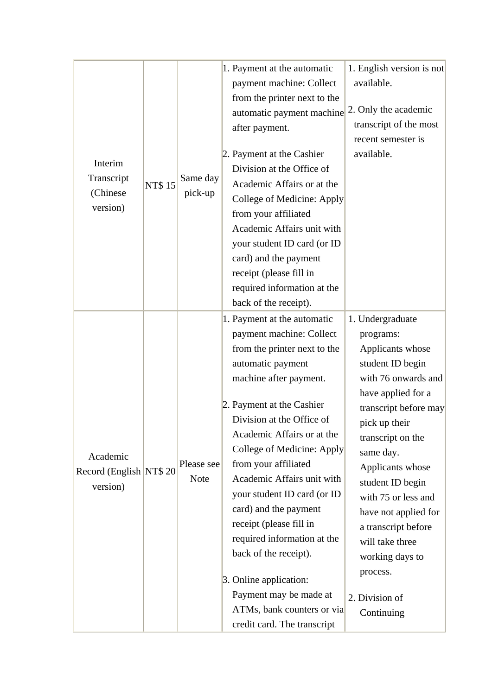| Interim<br>Transcript<br>(Chinese)<br>version)   | <b>NT\$15</b> | Same day<br>pick-up       | 1. Payment at the automatic<br>payment machine: Collect<br>from the printer next to the<br>automatic payment machine<br>after payment.<br>2. Payment at the Cashier<br>Division at the Office of<br>Academic Affairs or at the<br>College of Medicine: Apply<br>from your affiliated<br>Academic Affairs unit with<br>your student ID card (or ID<br>card) and the payment<br>receipt (please fill in<br>required information at the<br>back of the receipt).<br>1. Payment at the automatic                                                    | 1. English version is not<br>available.<br>2. Only the academic<br>transcript of the most<br>recent semester is<br>available.<br>1. Undergraduate                                                                                                                                                                                                                          |
|--------------------------------------------------|---------------|---------------------------|-------------------------------------------------------------------------------------------------------------------------------------------------------------------------------------------------------------------------------------------------------------------------------------------------------------------------------------------------------------------------------------------------------------------------------------------------------------------------------------------------------------------------------------------------|----------------------------------------------------------------------------------------------------------------------------------------------------------------------------------------------------------------------------------------------------------------------------------------------------------------------------------------------------------------------------|
| Academic<br>Record (English NT\$ 20)<br>version) |               | Please see<br><b>Note</b> | payment machine: Collect<br>from the printer next to the<br>automatic payment<br>machine after payment.<br>2. Payment at the Cashier<br>Division at the Office of<br>Academic Affairs or at the<br>College of Medicine: Apply<br>from your affiliated<br>Academic Affairs unit with<br>your student ID card (or ID<br>card) and the payment<br>receipt (please fill in<br>required information at the<br>back of the receipt).<br>3. Online application:<br>Payment may be made at<br>ATMs, bank counters or via<br>credit card. The transcript | programs:<br>Applicants whose<br>student ID begin<br>with 76 onwards and<br>have applied for a<br>transcript before may<br>pick up their<br>transcript on the<br>same day.<br>Applicants whose<br>student ID begin<br>with 75 or less and<br>have not applied for<br>a transcript before<br>will take three<br>working days to<br>process.<br>2. Division of<br>Continuing |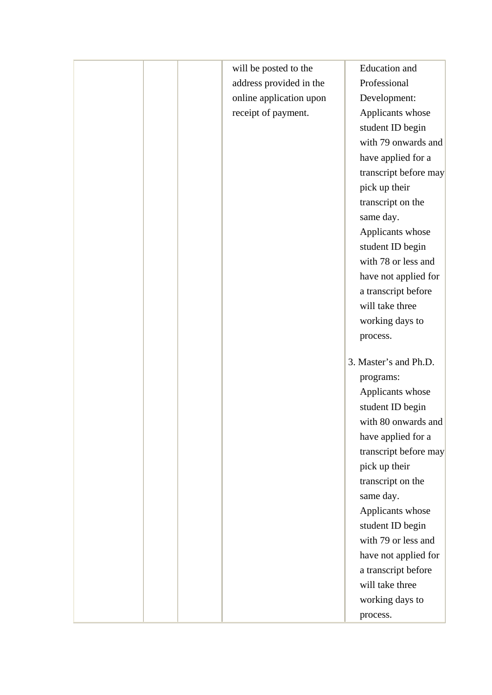| will be posted to the   | Education and         |
|-------------------------|-----------------------|
| address provided in the | Professional          |
| online application upon | Development:          |
| receipt of payment.     | Applicants whose      |
|                         | student ID begin      |
|                         | with 79 onwards and   |
|                         | have applied for a    |
|                         | transcript before may |
|                         | pick up their         |
|                         | transcript on the     |
|                         | same day.             |
|                         | Applicants whose      |
|                         | student ID begin      |
|                         | with 78 or less and   |
|                         | have not applied for  |
|                         | a transcript before   |
|                         | will take three       |
|                         | working days to       |
|                         | process.              |
|                         |                       |
|                         | 3. Master's and Ph.D. |
|                         | programs:             |
|                         | Applicants whose      |
|                         | student ID begin      |
|                         | with 80 onwards and   |
|                         | have applied for a    |
|                         | transcript before may |
|                         | pick up their         |
|                         | transcript on the     |
|                         | same day.             |
|                         | Applicants whose      |
|                         | student ID begin      |
|                         | with 79 or less and   |
|                         | have not applied for  |
|                         | a transcript before   |
|                         | will take three       |
|                         | working days to       |
|                         | process.              |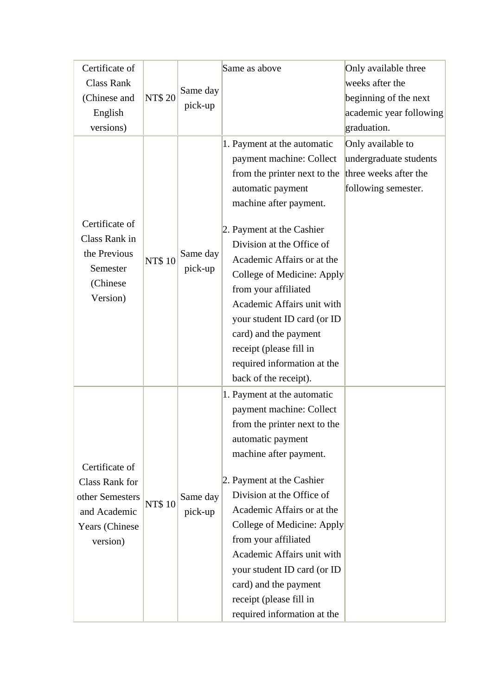| Certificate of    |               |                     | Same as above                | Only available three    |
|-------------------|---------------|---------------------|------------------------------|-------------------------|
| <b>Class Rank</b> |               | Same day<br>pick-up |                              | weeks after the         |
| (Chinese and      | <b>NT\$20</b> |                     |                              | beginning of the next   |
| English           |               |                     |                              | academic year following |
| versions)         |               |                     |                              | graduation.             |
|                   |               |                     | 1. Payment at the automatic  | Only available to       |
|                   |               |                     | payment machine: Collect     | undergraduate students  |
|                   |               |                     | from the printer next to the | three weeks after the   |
|                   |               |                     | automatic payment            | following semester.     |
|                   |               |                     | machine after payment.       |                         |
| Certificate of    |               |                     | 2. Payment at the Cashier    |                         |
| Class Rank in     |               |                     | Division at the Office of    |                         |
| the Previous      |               | Same day            | Academic Affairs or at the   |                         |
| Semester          | <b>NT\$10</b> | pick-up             | College of Medicine: Apply   |                         |
| (Chinese)         |               |                     | from your affiliated         |                         |
| Version)          |               |                     | Academic Affairs unit with   |                         |
|                   |               |                     | your student ID card (or ID  |                         |
|                   |               |                     | card) and the payment        |                         |
|                   |               |                     | receipt (please fill in      |                         |
|                   |               |                     | required information at the  |                         |
|                   |               |                     |                              |                         |
|                   |               |                     | back of the receipt).        |                         |
|                   |               |                     | 1. Payment at the automatic  |                         |
|                   |               |                     | payment machine: Collect     |                         |
|                   |               |                     | from the printer next to the |                         |
|                   |               |                     | automatic payment            |                         |
| Certificate of    |               |                     | machine after payment.       |                         |
| Class Rank for    |               |                     | 2. Payment at the Cashier    |                         |
| other Semesters   |               | Same day            | Division at the Office of    |                         |
| and Academic      | <b>NT\$10</b> | pick-up             | Academic Affairs or at the   |                         |
| Years (Chinese    |               |                     | College of Medicine: Apply   |                         |
| version)          |               |                     | from your affiliated         |                         |
|                   |               |                     | Academic Affairs unit with   |                         |
|                   |               |                     | your student ID card (or ID  |                         |
|                   |               |                     | card) and the payment        |                         |
|                   |               |                     | receipt (please fill in      |                         |
|                   |               |                     | required information at the  |                         |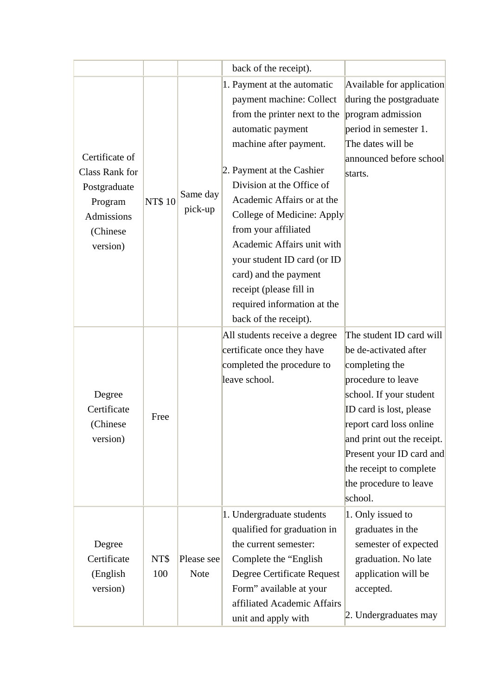|                                                                                                    |               |                           | back of the receipt).                                                                                                                                                                                                                                                                                                                                                                                                                                         |                                                                                                                                                                                                                                                                          |
|----------------------------------------------------------------------------------------------------|---------------|---------------------------|---------------------------------------------------------------------------------------------------------------------------------------------------------------------------------------------------------------------------------------------------------------------------------------------------------------------------------------------------------------------------------------------------------------------------------------------------------------|--------------------------------------------------------------------------------------------------------------------------------------------------------------------------------------------------------------------------------------------------------------------------|
| Certificate of<br>Class Rank for<br>Postgraduate<br>Program<br>Admissions<br>(Chinese)<br>version) | <b>NT\$10</b> | Same day<br>pick-up       | 1. Payment at the automatic<br>payment machine: Collect<br>from the printer next to the<br>automatic payment<br>machine after payment.<br>2. Payment at the Cashier<br>Division at the Office of<br>Academic Affairs or at the<br>College of Medicine: Apply<br>from your affiliated<br>Academic Affairs unit with<br>your student ID card (or ID<br>card) and the payment<br>receipt (please fill in<br>required information at the<br>back of the receipt). | Available for application<br>during the postgraduate<br>program admission<br>period in semester 1.<br>The dates will be<br>announced before school<br>starts.<br>The student ID card will                                                                                |
| Degree<br>Certificate<br>(Chinese<br>version)                                                      | Free          |                           | All students receive a degree<br>certificate once they have<br>completed the procedure to<br>leave school.                                                                                                                                                                                                                                                                                                                                                    | be de-activated after<br>completing the<br>procedure to leave<br>school. If your student<br>ID card is lost, please<br>report card loss online<br>and print out the receipt.<br>Present your ID card and<br>the receipt to complete<br>the procedure to leave<br>school. |
| Degree<br>Certificate<br>(English<br>version)                                                      | NT\$<br>100   | Please see<br><b>Note</b> | 1. Undergraduate students<br>qualified for graduation in<br>the current semester:<br>Complete the "English"<br>Degree Certificate Request<br>Form" available at your<br>affiliated Academic Affairs<br>unit and apply with                                                                                                                                                                                                                                    | 1. Only issued to<br>graduates in the<br>semester of expected<br>graduation. No late<br>application will be<br>accepted.<br>2. Undergraduates may                                                                                                                        |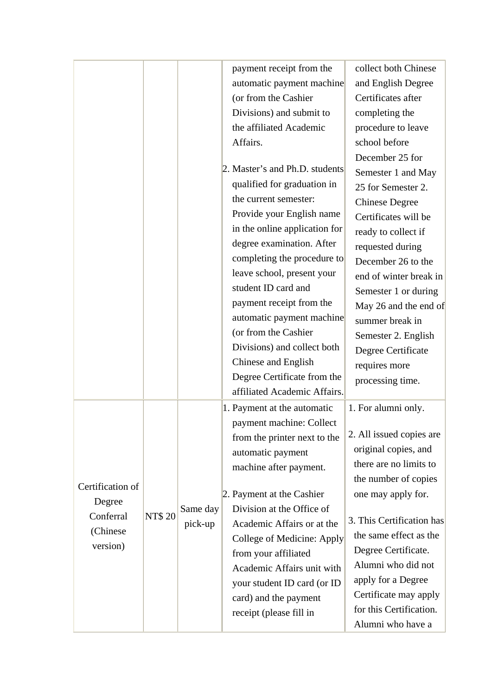|                  |               |          | payment receipt from the       | collect both Chinese                             |
|------------------|---------------|----------|--------------------------------|--------------------------------------------------|
|                  |               |          | automatic payment machine      | and English Degree                               |
|                  |               |          | (or from the Cashier           | Certificates after                               |
|                  |               |          | Divisions) and submit to       | completing the                                   |
|                  |               |          | the affiliated Academic        | procedure to leave                               |
|                  |               |          | Affairs.                       | school before                                    |
|                  |               |          |                                | December 25 for                                  |
|                  |               |          | 2. Master's and Ph.D. students | Semester 1 and May                               |
|                  |               |          | qualified for graduation in    | 25 for Semester 2.                               |
|                  |               |          | the current semester:          | <b>Chinese Degree</b>                            |
|                  |               |          | Provide your English name      | Certificates will be                             |
|                  |               |          | in the online application for  | ready to collect if                              |
|                  |               |          | degree examination. After      | requested during                                 |
|                  |               |          | completing the procedure to    | December 26 to the                               |
|                  |               |          | leave school, present your     | end of winter break in                           |
|                  |               |          | student ID card and            | Semester 1 or during                             |
|                  |               |          | payment receipt from the       | May 26 and the end of                            |
|                  |               |          | automatic payment machine      | summer break in                                  |
|                  |               |          | (or from the Cashier           | Semester 2. English                              |
|                  |               |          | Divisions) and collect both    | Degree Certificate                               |
|                  |               |          | Chinese and English            | requires more                                    |
|                  |               |          | Degree Certificate from the    | processing time.                                 |
|                  |               |          | affiliated Academic Affairs.   |                                                  |
|                  |               |          | 1. Payment at the automatic    | 1. For alumni only.                              |
|                  |               |          | payment machine: Collect       |                                                  |
|                  |               |          | from the printer next to the   | 2. All issued copies are                         |
|                  |               |          | automatic payment              | original copies, and                             |
|                  |               |          | machine after payment.         | there are no limits to                           |
| Certification of |               |          |                                | the number of copies                             |
| Degree           |               |          | 2. Payment at the Cashier      | one may apply for.                               |
| Conferral        | <b>NT\$20</b> | Same day | Division at the Office of      | 3. This Certification has                        |
| (Chinese         |               | pick-up  | Academic Affairs or at the     |                                                  |
| version)         |               |          | College of Medicine: Apply     | the same effect as the                           |
|                  |               |          | from your affiliated           | Degree Certificate.                              |
|                  |               |          | Academic Affairs unit with     | Alumni who did not                               |
|                  |               |          | your student ID card (or ID    | apply for a Degree                               |
|                  |               |          | card) and the payment          | Certificate may apply<br>for this Certification. |
|                  |               |          | receipt (please fill in        |                                                  |
|                  |               |          |                                | Alumni who have a                                |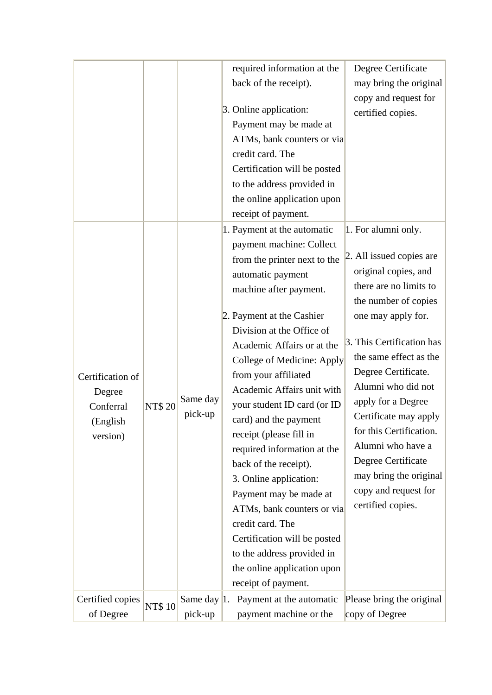|                  |               |                | required information at the<br>Degree Certificate        |
|------------------|---------------|----------------|----------------------------------------------------------|
|                  |               |                | back of the receipt).<br>may bring the original          |
|                  |               |                | copy and request for                                     |
|                  |               |                | 3. Online application:<br>certified copies.              |
|                  |               |                | Payment may be made at                                   |
|                  |               |                | ATMs, bank counters or via                               |
|                  |               |                | credit card. The                                         |
|                  |               |                | Certification will be posted                             |
|                  |               |                | to the address provided in                               |
|                  |               |                | the online application upon                              |
|                  |               |                | receipt of payment.                                      |
|                  |               |                | 1. For alumni only.<br>1. Payment at the automatic       |
|                  |               |                | payment machine: Collect                                 |
|                  |               |                | 2. All issued copies are<br>from the printer next to the |
|                  |               |                | original copies, and<br>automatic payment                |
|                  |               |                | there are no limits to<br>machine after payment.         |
|                  |               |                | the number of copies                                     |
|                  |               |                | 2. Payment at the Cashier<br>one may apply for.          |
|                  |               |                | Division at the Office of                                |
|                  |               |                | 3. This Certification has<br>Academic Affairs or at the  |
|                  |               |                | the same effect as the<br>College of Medicine: Apply     |
| Certification of |               |                | Degree Certificate.<br>from your affiliated              |
| Degree           |               |                | Alumni who did not<br>Academic Affairs unit with         |
| Conferral        | <b>NT\$20</b> | Same day       | apply for a Degree<br>your student ID card (or ID        |
| (English         |               | pick-up        | Certificate may apply<br>card) and the payment           |
| version)         |               |                | for this Certification.<br>receipt (please fill in       |
|                  |               |                | Alumni who have a<br>required information at the         |
|                  |               |                | Degree Certificate<br>back of the receipt).              |
|                  |               |                | may bring the original<br>3. Online application:         |
|                  |               |                | copy and request for<br>Payment may be made at           |
|                  |               |                | certified copies.<br>ATMs, bank counters or via          |
|                  |               |                | credit card. The                                         |
|                  |               |                | Certification will be posted                             |
|                  |               |                | to the address provided in                               |
|                  |               |                | the online application upon                              |
|                  |               |                | receipt of payment.                                      |
| Certified copies |               | Same day $ 1.$ | Payment at the automatic<br>Please bring the original    |
| of Degree        | <b>NT\$10</b> | pick-up        | payment machine or the<br>copy of Degree                 |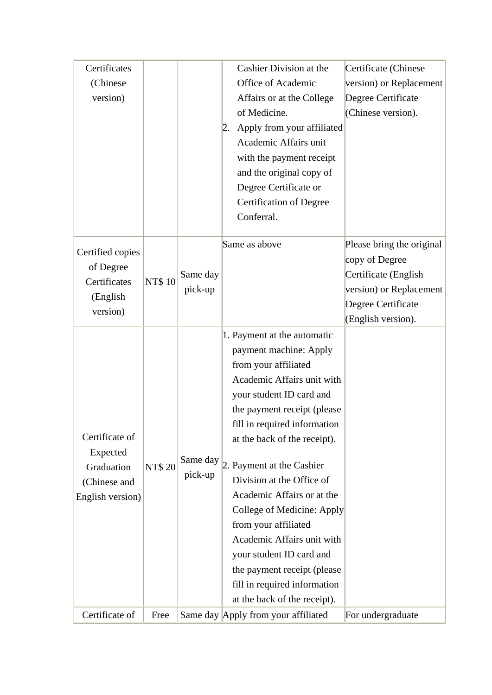| Certificates     |               |          | Cashier Division at the             | Certificate (Chinese      |
|------------------|---------------|----------|-------------------------------------|---------------------------|
| (Chinese)        |               |          | Office of Academic                  | version) or Replacement   |
| version)         |               |          | Affairs or at the College           | Degree Certificate        |
|                  |               |          | of Medicine.                        | (Chinese version).        |
|                  |               |          | Apply from your affiliated<br> 2.   |                           |
|                  |               |          | Academic Affairs unit               |                           |
|                  |               |          | with the payment receipt            |                           |
|                  |               |          | and the original copy of            |                           |
|                  |               |          | Degree Certificate or               |                           |
|                  |               |          | <b>Certification of Degree</b>      |                           |
|                  |               |          | Conferral.                          |                           |
|                  |               |          |                                     |                           |
| Certified copies |               |          | Same as above                       | Please bring the original |
| of Degree        |               |          |                                     | copy of Degree            |
| Certificates     | <b>NT\$10</b> | Same day |                                     | Certificate (English      |
| (English         |               | pick-up  |                                     | version) or Replacement   |
| version)         |               |          |                                     | Degree Certificate        |
|                  |               |          |                                     | (English version).        |
|                  |               |          | 1. Payment at the automatic         |                           |
|                  |               |          | payment machine: Apply              |                           |
|                  |               |          | from your affiliated                |                           |
|                  |               |          | Academic Affairs unit with          |                           |
|                  |               |          | your student ID card and            |                           |
|                  |               |          | the payment receipt (please         |                           |
|                  |               |          | fill in required information        |                           |
| Certificate of   |               |          | at the back of the receipt).        |                           |
| Expected         |               | Same day |                                     |                           |
| Graduation       | <b>NT\$20</b> | pick-up  | 2. Payment at the Cashier           |                           |
| (Chinese and     |               |          | Division at the Office of           |                           |
| English version) |               |          | Academic Affairs or at the          |                           |
|                  |               |          | College of Medicine: Apply          |                           |
|                  |               |          | from your affiliated                |                           |
|                  |               |          | Academic Affairs unit with          |                           |
|                  |               |          | your student ID card and            |                           |
|                  |               |          | the payment receipt (please)        |                           |
|                  |               |          | fill in required information        |                           |
|                  |               |          | at the back of the receipt).        |                           |
| Certificate of   | Free          |          | Same day Apply from your affiliated | For undergraduate         |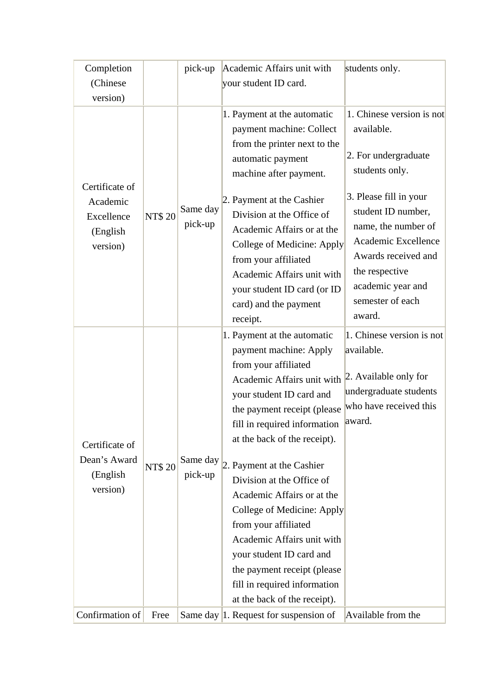| Completion                                                        |               | pick-up             | Academic Affairs unit with                                                                                                                                                                                                                                                                                                                                                                                                                                                                                                                    | students only.                                                                                                                                                                         |
|-------------------------------------------------------------------|---------------|---------------------|-----------------------------------------------------------------------------------------------------------------------------------------------------------------------------------------------------------------------------------------------------------------------------------------------------------------------------------------------------------------------------------------------------------------------------------------------------------------------------------------------------------------------------------------------|----------------------------------------------------------------------------------------------------------------------------------------------------------------------------------------|
| (Chinese)                                                         |               |                     | your student ID card.                                                                                                                                                                                                                                                                                                                                                                                                                                                                                                                         |                                                                                                                                                                                        |
| version)                                                          |               |                     |                                                                                                                                                                                                                                                                                                                                                                                                                                                                                                                                               |                                                                                                                                                                                        |
|                                                                   |               |                     | 1. Payment at the automatic<br>payment machine: Collect<br>from the printer next to the<br>automatic payment<br>machine after payment.                                                                                                                                                                                                                                                                                                                                                                                                        | 1. Chinese version is not<br>available.<br>2. For undergraduate<br>students only.                                                                                                      |
| Certificate of<br>Academic<br>Excellence<br>(English)<br>version) | <b>NT\$20</b> | Same day<br>pick-up | 2. Payment at the Cashier<br>Division at the Office of<br>Academic Affairs or at the<br>College of Medicine: Apply<br>from your affiliated<br>Academic Affairs unit with<br>your student ID card (or ID<br>card) and the payment<br>receipt.                                                                                                                                                                                                                                                                                                  | 3. Please fill in your<br>student ID number,<br>name, the number of<br>Academic Excellence<br>Awards received and<br>the respective<br>academic year and<br>semester of each<br>award. |
| Certificate of<br>Dean's Award<br>(English)<br>version)           | <b>NT\$20</b> | Same day<br>pick-up | 1. Payment at the automatic<br>payment machine: Apply<br>from your affiliated<br>Academic Affairs unit with<br>your student ID card and<br>the payment receipt (please<br>fill in required information<br>at the back of the receipt).<br>2. Payment at the Cashier<br>Division at the Office of<br>Academic Affairs or at the<br>College of Medicine: Apply<br>from your affiliated<br>Academic Affairs unit with<br>your student ID card and<br>the payment receipt (please<br>fill in required information<br>at the back of the receipt). | 1. Chinese version is not<br>available.<br>2. Available only for<br>undergraduate students<br>who have received this<br>award.                                                         |
| Confirmation of                                                   | Free          |                     | Same day $ 1$ . Request for suspension of                                                                                                                                                                                                                                                                                                                                                                                                                                                                                                     | Available from the                                                                                                                                                                     |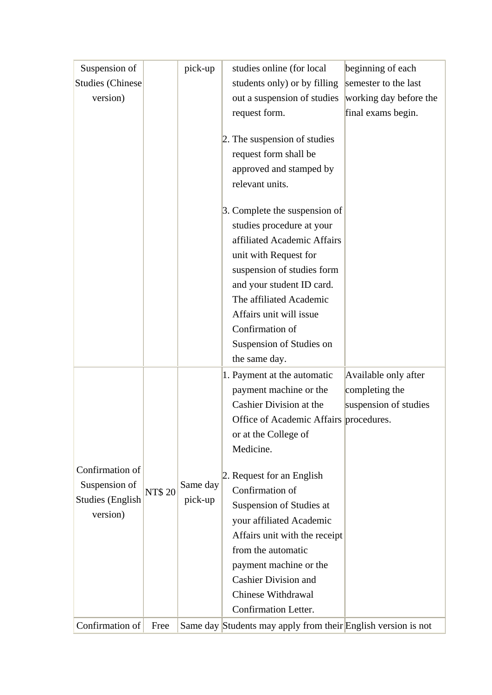| Suspension of                                                           |               | pick-up             | studies online (for local                                     | beginning of each      |
|-------------------------------------------------------------------------|---------------|---------------------|---------------------------------------------------------------|------------------------|
| <b>Studies (Chinese)</b>                                                |               |                     | students only) or by filling                                  | semester to the last   |
| version)                                                                |               |                     | out a suspension of studies                                   | working day before the |
|                                                                         |               |                     | request form.                                                 | final exams begin.     |
|                                                                         |               |                     |                                                               |                        |
|                                                                         |               |                     | 2. The suspension of studies                                  |                        |
|                                                                         |               |                     | request form shall be                                         |                        |
|                                                                         |               |                     | approved and stamped by                                       |                        |
|                                                                         |               |                     | relevant units.                                               |                        |
|                                                                         |               |                     | 3. Complete the suspension of                                 |                        |
|                                                                         |               |                     | studies procedure at your                                     |                        |
|                                                                         |               |                     | affiliated Academic Affairs                                   |                        |
|                                                                         |               |                     | unit with Request for                                         |                        |
|                                                                         |               |                     | suspension of studies form                                    |                        |
|                                                                         |               |                     | and your student ID card.                                     |                        |
|                                                                         |               |                     | The affiliated Academic                                       |                        |
|                                                                         |               |                     | Affairs unit will issue                                       |                        |
|                                                                         |               |                     | Confirmation of                                               |                        |
|                                                                         |               |                     | Suspension of Studies on                                      |                        |
|                                                                         |               |                     | the same day.                                                 |                        |
|                                                                         |               |                     | 1. Payment at the automatic                                   | Available only after   |
|                                                                         | <b>NT\$20</b> | Same day<br>pick-up | payment machine or the                                        | completing the         |
|                                                                         |               |                     | Cashier Division at the                                       | suspension of studies  |
|                                                                         |               |                     | Office of Academic Affairs procedures.                        |                        |
|                                                                         |               |                     | or at the College of                                          |                        |
|                                                                         |               |                     | Medicine.                                                     |                        |
| Confirmation of<br>Suspension of<br><b>Studies (English</b><br>version) |               |                     | 2. Request for an English                                     |                        |
|                                                                         |               |                     | Confirmation of                                               |                        |
|                                                                         |               |                     | Suspension of Studies at                                      |                        |
|                                                                         |               |                     | your affiliated Academic                                      |                        |
|                                                                         |               |                     | Affairs unit with the receipt                                 |                        |
|                                                                         |               |                     | from the automatic                                            |                        |
|                                                                         |               |                     | payment machine or the                                        |                        |
|                                                                         |               |                     | <b>Cashier Division and</b>                                   |                        |
|                                                                         |               |                     | Chinese Withdrawal                                            |                        |
|                                                                         |               |                     | Confirmation Letter.                                          |                        |
| Confirmation of                                                         | Free          |                     | Same day Students may apply from their English version is not |                        |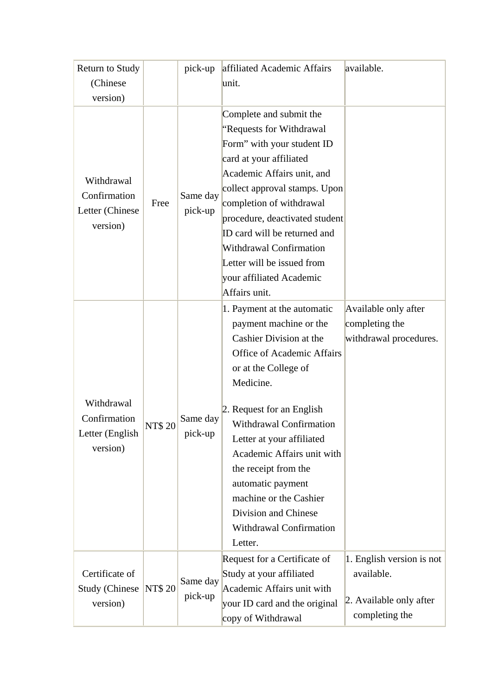| Return to Study                                      |               | pick-up             | affiliated Academic Affairs       | available.                |
|------------------------------------------------------|---------------|---------------------|-----------------------------------|---------------------------|
| (Chinese)                                            |               |                     | unit.                             |                           |
| version)                                             |               |                     |                                   |                           |
| Withdrawal                                           | Free          |                     | Complete and submit the           |                           |
|                                                      |               | Same day<br>pick-up | "Requests for Withdrawal          |                           |
|                                                      |               |                     | Form" with your student ID        |                           |
|                                                      |               |                     | card at your affiliated           |                           |
|                                                      |               |                     | Academic Affairs unit, and        |                           |
| Confirmation                                         |               |                     | collect approval stamps. Upon     |                           |
| Letter (Chinese                                      |               |                     | completion of withdrawal          |                           |
| version)                                             |               |                     | procedure, deactivated student    |                           |
|                                                      |               |                     | ID card will be returned and      |                           |
|                                                      |               |                     | <b>Withdrawal Confirmation</b>    |                           |
|                                                      |               |                     | Letter will be issued from        |                           |
|                                                      |               |                     | your affiliated Academic          |                           |
|                                                      |               |                     | Affairs unit.                     |                           |
|                                                      | <b>NT\$20</b> | Same day<br>pick-up | 1. Payment at the automatic       | Available only after      |
|                                                      |               |                     | payment machine or the            | completing the            |
|                                                      |               |                     | Cashier Division at the           | withdrawal procedures.    |
|                                                      |               |                     | <b>Office of Academic Affairs</b> |                           |
|                                                      |               |                     | or at the College of              |                           |
|                                                      |               |                     | Medicine.                         |                           |
| Withdrawal                                           |               |                     | 2. Request for an English         |                           |
| Confirmation                                         |               |                     | <b>Withdrawal Confirmation</b>    |                           |
| Letter (English)                                     |               |                     | Letter at your affiliated         |                           |
| version)                                             |               |                     | Academic Affairs unit with        |                           |
|                                                      |               |                     | the receipt from the              |                           |
|                                                      |               |                     | automatic payment                 |                           |
|                                                      |               |                     | machine or the Cashier            |                           |
|                                                      |               |                     | Division and Chinese              |                           |
|                                                      |               |                     | Withdrawal Confirmation           |                           |
|                                                      |               |                     | Letter.                           |                           |
|                                                      |               |                     | Request for a Certificate of      | 1. English version is not |
| Certificate of<br><b>Study (Chinese)</b><br>version) | <b>NT\$20</b> | Same day<br>pick-up | Study at your affiliated          | available.                |
|                                                      |               |                     | Academic Affairs unit with        |                           |
|                                                      |               |                     | your ID card and the original     | 2. Available only after   |
|                                                      |               |                     | copy of Withdrawal                | completing the            |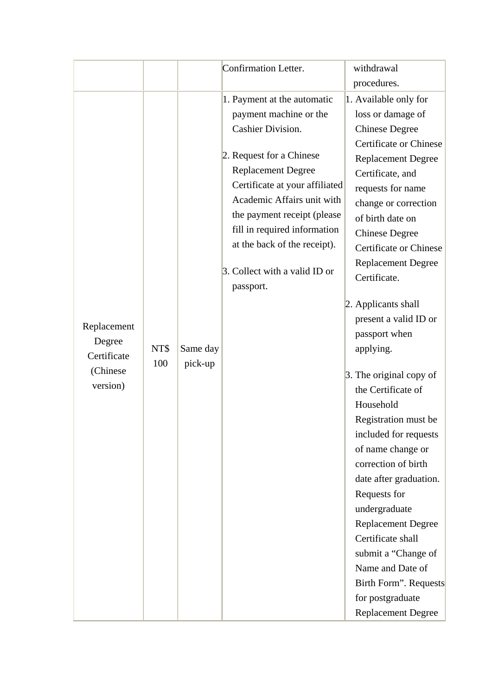|                                                                              |                     | Confirmation Letter.                                                                                                                                                                                                                                                | withdrawal                                                                                                                                                                                                                                                                                                                                                                                                                                                                                                                                                                                                                                                                                                  |
|------------------------------------------------------------------------------|---------------------|---------------------------------------------------------------------------------------------------------------------------------------------------------------------------------------------------------------------------------------------------------------------|-------------------------------------------------------------------------------------------------------------------------------------------------------------------------------------------------------------------------------------------------------------------------------------------------------------------------------------------------------------------------------------------------------------------------------------------------------------------------------------------------------------------------------------------------------------------------------------------------------------------------------------------------------------------------------------------------------------|
|                                                                              |                     |                                                                                                                                                                                                                                                                     | procedures.                                                                                                                                                                                                                                                                                                                                                                                                                                                                                                                                                                                                                                                                                                 |
|                                                                              |                     | 1. Payment at the automatic                                                                                                                                                                                                                                         | 1. Available only for                                                                                                                                                                                                                                                                                                                                                                                                                                                                                                                                                                                                                                                                                       |
|                                                                              |                     | payment machine or the                                                                                                                                                                                                                                              | loss or damage of                                                                                                                                                                                                                                                                                                                                                                                                                                                                                                                                                                                                                                                                                           |
|                                                                              |                     | <b>Cashier Division.</b>                                                                                                                                                                                                                                            | <b>Chinese Degree</b>                                                                                                                                                                                                                                                                                                                                                                                                                                                                                                                                                                                                                                                                                       |
| Replacement<br>Degree<br>NT\$<br>Certificate<br>100<br>(Chinese)<br>version) | Same day<br>pick-up | 2. Request for a Chinese<br><b>Replacement Degree</b><br>Certificate at your affiliated<br>Academic Affairs unit with<br>the payment receipt (please)<br>fill in required information<br>at the back of the receipt).<br>3. Collect with a valid ID or<br>passport. | <b>Certificate or Chinese</b><br><b>Replacement Degree</b><br>Certificate, and<br>requests for name<br>change or correction<br>of birth date on<br><b>Chinese Degree</b><br><b>Certificate or Chinese</b><br><b>Replacement Degree</b><br>Certificate.<br>2. Applicants shall<br>present a valid ID or<br>passport when<br>applying.<br>$\beta$ . The original copy of<br>the Certificate of<br>Household<br>Registration must be<br>included for requests<br>of name change or<br>correction of birth<br>date after graduation.<br>Requests for<br>undergraduate<br><b>Replacement Degree</b><br>Certificate shall<br>submit a "Change of<br>Name and Date of<br>Birth Form". Requests<br>for postgraduate |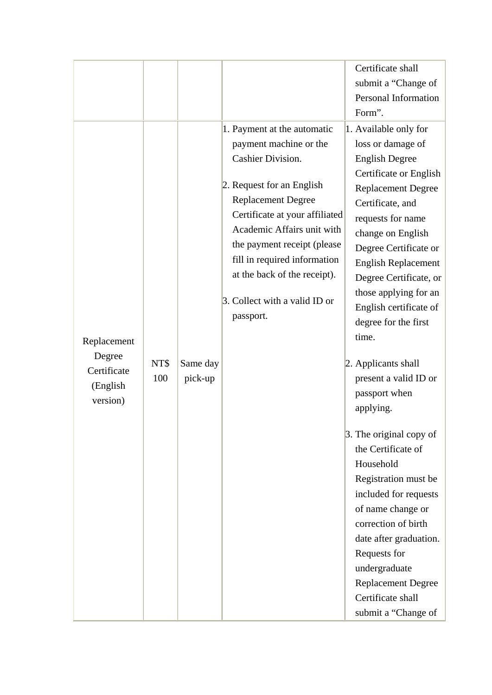|                                                              |             |                     |                                                                                                                                                                                                                                                                                                                                                          | Certificate shall<br>submit a "Change of<br>Personal Information<br>Form".                                                                                                                                                                                                                                                                                                                                                                                                                                                                                                                                                                                                                                                                 |
|--------------------------------------------------------------|-------------|---------------------|----------------------------------------------------------------------------------------------------------------------------------------------------------------------------------------------------------------------------------------------------------------------------------------------------------------------------------------------------------|--------------------------------------------------------------------------------------------------------------------------------------------------------------------------------------------------------------------------------------------------------------------------------------------------------------------------------------------------------------------------------------------------------------------------------------------------------------------------------------------------------------------------------------------------------------------------------------------------------------------------------------------------------------------------------------------------------------------------------------------|
| Replacement<br>Degree<br>Certificate<br>(English<br>version) | NT\$<br>100 | Same day<br>pick-up | 1. Payment at the automatic<br>payment machine or the<br><b>Cashier Division.</b><br>2. Request for an English<br><b>Replacement Degree</b><br>Certificate at your affiliated<br>Academic Affairs unit with<br>the payment receipt (please<br>fill in required information<br>at the back of the receipt).<br>3. Collect with a valid ID or<br>passport. | 1. Available only for<br>loss or damage of<br><b>English Degree</b><br>Certificate or English<br><b>Replacement Degree</b><br>Certificate, and<br>requests for name<br>change on English<br>Degree Certificate or<br><b>English Replacement</b><br>Degree Certificate, or<br>those applying for an<br>English certificate of<br>degree for the first<br>time.<br>2. Applicants shall<br>present a valid ID or<br>passport when<br>applying.<br>3. The original copy of<br>the Certificate of<br>Household<br>Registration must be<br>included for requests<br>of name change or<br>correction of birth<br>date after graduation.<br>Requests for<br>undergraduate<br><b>Replacement Degree</b><br>Certificate shall<br>submit a "Change of |